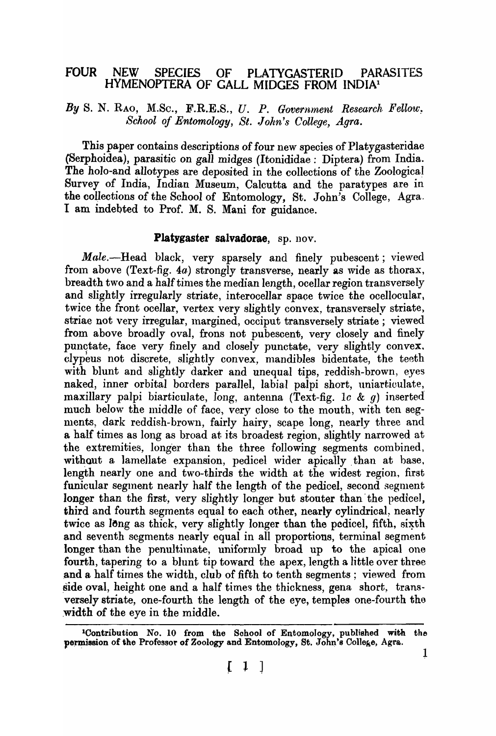# FOUR NEW SPECIES OF PLATYGASTERID PARASITES HYMENOPTERA OF GALL MIDGES FROM INDIAl

By S. N. RAO, M.Sc., F.R.E.S., U. P. *Government Research Fellow*. *School of Entomology, St. John's College, Agra.* 

This paper contains descriptions of four new species of Platygasteridae (Serphoidea), parasitic on gall midges (Itonididae: Diptera) from India. The holo-and allotypes are deposited in the collections of the Zoological Survey of India, Indian Museum, Calcutta and the paratypes are in the collections of the School of Entomology, St. John's College, Agra. I am indebted to Prof. M. S. Mani for guidance.

### Platygaster salvadorae, sp. nov.

*Male.*--Head black, very sparsely and finely pubescent; viewed from above (Text-fig. 4a) strongly transverse, nearly as wide as thorax, breadth two and a half times the median length, ocellar region transversely and slightly irregularly striate, interocellar space twice the ocellocular, twice the front ocellar, vertex very slightly convex, transversely striate, striae not very irregular, margined, occiput transversely striate; viewed from above broadly oval, frons not pubescent, very closely and finely punctate, face very finely and closely punctate, very slightly convex. clypeus not discrete, slightly convex, mandibles bidentate, the teeth with blunt and slightly darker and unequal tips, reddish-brown, eyes naked, inner orbital borders parallel, labial palpi short, uniarticulate, maxillary palpi biarticulate, long, antenna (Text-fig. 1c & q) inserted much below the middle of face, very close to the mouth, with ten segments, dark reddish-brown, fairly hairy, scape long, nearly three and a half times as long as broad at its broadest region, slightly narrowed at the extremities, longer than the three following segments combined, without a lamellate expansion, pedicel wider apically than at base, length nearly one and two-thirds the width at the widest region, first funicular segment nearly half the length of the pedicel, second segment longer than the first, very slightly longer but stouter than the pedicel, third and fourth segments equal to each other, nearly cylindrical, nearly twice as long as thick, very slightly longer than the pedicel, fifth, sixth and seventh segments nearly equal in all proportions, terminal segment longer than the penultimate, uniformly broad up to the apical one fourth, tapering to a blunt tip toward the apex, length a little over three and a half times the width, club of fifth to tenth segments; viewed from side oval, height one and a half times the thickness, gena short, transversely striate, one-fourth the length of the eye, temples one-fourth tho .width of the eye in the middle.

lContribution No. 10 from the Sohool of Entomology, published with the permission of the Professor of Zoology and Entomology, St. John's College, Agra.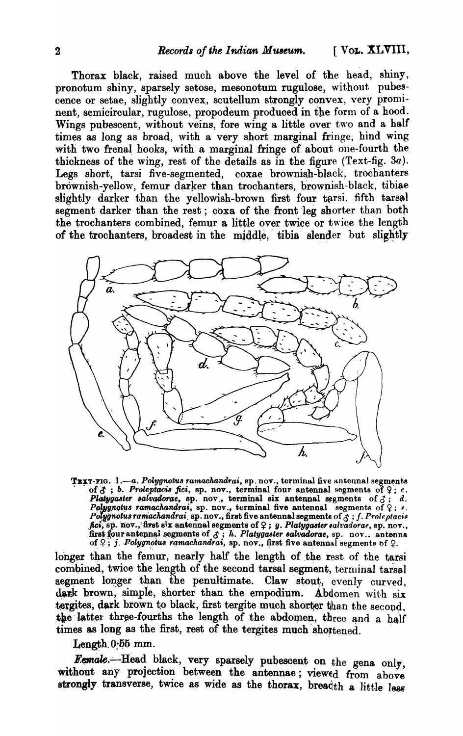Thorax black, raised much above the level of the head, shiny, pronotum shiny, sparsely setose, mesonotum rugulose, without pubescence or setae, slightly convex, scutellum strongly convex, very prominent, semicircular, rugulose, propodeum produced in the form of a hood. Wings pubescent, without veins, fore wing a little over two and a half times as long as broad, with a very short marginal fringe, hind wing with two frenal hooks, with a marginal fringe of about one-fourth the thickness of the wing, rest of the details as in the figure (Text-fig.  $3a$ ). Legs short, tarsi five-segmented, coxae brownish-black, trochanters brownish-yellow, femur darker than trochanters, brownish-black, tibiae slightly darker than the yellowish-brown first four tarsi, fifth tarsal segment darker than the rest; coxa of the front leg shorter than both the trochanters combined, femur a little over twice or twice the length of the trochanters, broadest in the middle, tibia slender but slightly



TEXT-FIG. 1.—a. Polygnotus ramachandrai, sp. nov., terminal five antennal segments of  $\beta$ ; b. Proleptacis fici, sp. nov., terminal four antennal segments of  $\varphi$ ; c. of  $G$ ; v. Proteputes fier, sp. nov., terminal four antennal segments of  $\angle$ ; c.<br>Platygaster salvadorae, sp. nov., terminal six antennal segments of  $\Diamond$ ; d.<br>Polygnotus ramachandrai, sp. nov., terminal five antennal segm

longer than the femur, nearly half the length of the rest of the tarsi combined, twice the length of the second tarsal segment, terminal tarsal segment longer than the penultimate. Claw stout, evenly curved, dark brown, simple, shorter than the empodium. Abdomen with six tergites, dark brown to black, first tergite much shorter than the second, the latter three-fourths the length of the abdomen, three and a half times as long as the first, rest of the tergites much shortened.

Length 0.55 mm.

Female.--Head black, very sparsely pubescent on the gena only, without any projection between the antennae; viewed from above strongly transverse, twice as wide as the thorax, breadth a little less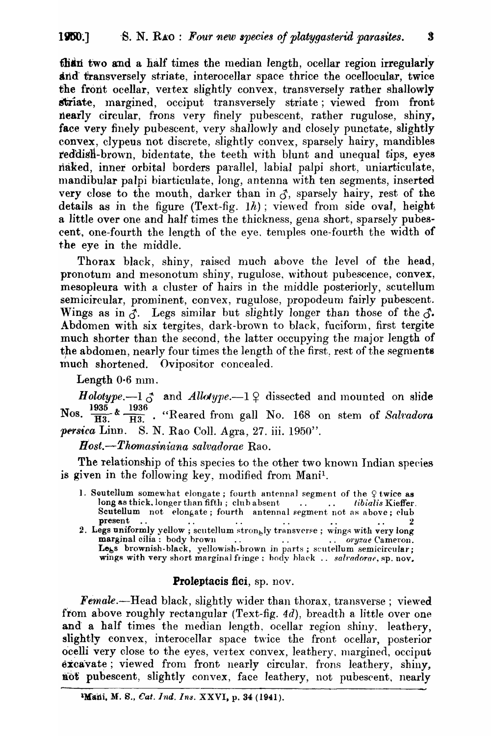than two and a half times the median length, ocellar region irregularly and transversely striate, interocellar space thrice the ocellocular, twice the front ocellar, vertex slightly convex, transversely rather shallowly striate, margined, occiput transversely striate; viewed from front nearly circular, frons very finely pubescent, rather rugulose, shiny, face very finely pubescent, very shallowly and closely punctate, slightly convex, clypeus not discrete, slightly convex, sparsely hairy, mandibles reddish-brown, bidentate, the teeth with blunt and unequal tips, eyes riaked, inner orbital borders parallel, labial palpi short, uniarticulate, mandibular palpi biarticulate, long, antenna with ten segments, inserted very close to the mouth, darker than in  $\beta$ , sparsely hairy, rest of the details as in the figure (Text-fig.  $1h$ ); viewed from side oval, height a little over one and half times the thickness, gena short, sparsely pubescent, one-fourth the length of the eye, temples one-fourth the width of the eye in the middle.

Thorax black, shiny, raised much above the level of the head, pronotum and mesonotum shiny, rugulose, without pubescence, convex, mesopleura with a cluster of hairs in the middle posteriorly, scutellum semicircular, prominent, convex, rugulose, propodeum fairly pubescent. Wings as in  $\tilde{d}$ . Legs similar but slightly longer than those of the  $\tilde{d}$ . Abdomen with six tergites, dark-brown to black, fuciform, first tergite much shorter than the second, the latter occupying the major length of the abdomen, nearly four times the length of the first, rest of the segments much shortened. Ovipositor concealed.

Length  $0.6$  mm.

*Holotype.*-1  $\sigma$  and *Allotype.*-1  $\Omega$  dissected and mounted on slide Nos.  $\frac{1935}{H3}$  &  $\frac{1936}{H3}$ . "Reared from gall No. 168 on stem of Salvadora *persica Linn.* S. N. Rao Coll. Agra, 27. iii. 1950".

*Bost.--Thornasiniana salvadorae* Rao.

The relationship of this species to the other two known Indian species is given in the following key, modified from Mani<sup>1</sup>.

- 1. Soutellum somewhat elongate; fourth antennal segment of the  $9$  twice as long as thick, longer than fifth; club absent ... .. *tibialis* Kieffer. Scutellum not elongate; fourth antennal segment not as above; club present .. .. . . .. .. 2
- 2. Legs uniformly yellow ; scutellum  $\operatorname{strong}$ ly transverse ; wings with very long marginal cilia: body hrown . . . . .. *oryzae* Cameroll. marginal cilia: body brown ... ... ... ... ... oryzae Cameron.<br>Less brownish-black, yellowish-brown in parts; scutellum semicircular; wings with very short marginal fringe; body black .. *salvadorae*, sp. nov.

# Proleptacis fici, sp. nov.

*Female.*--Head black, slightly wider than thorax, transverse; viewed from above roughly rectangular (Text-fig. 4d), breadth a little over one and a half times the median length, ocellar region shiny, leathery, slightly convex, interocellar space twice the front ocellar, posterior ocelli very close to the eyes, vertex convex, leathery, margined, occiput  $\alpha x$  cavate; viewed from front nearly circular, frons leathery, shiny, not pubescent, slightly convex, face leathery, not pubescent, nearly

 $\overline{\mathbf{3}}$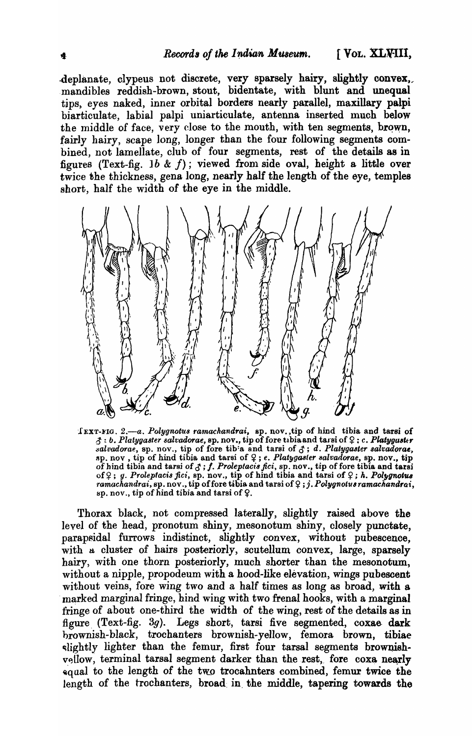deplanate, clypeus not discrete, very sparsely hairy, slightly convex, mandibles reddish-brown, stout, bidentate, with blunt and unequal tips) eyes naked, inner orbital borders nearly parallel, maxillary palpi biarticulate, labial palpi uniarticulate, antenna inserted much below the middle of face, very close to the mouth, with ten segments, brown, fairly hairy, scape long, longer than the four following segments combined, not lamellate, club of four segments, rest of the details as in figures (Text-fig. 1b  $\&$  f); viewed from side oval, height a little over twice the thickness, gena long, nearly half the length of the eye, temples sbort, half the width of the eye in the middle.



IEXT-FIG. 2.-a. Polygnotus ramachandrai, sp. nov., tip of hind tibia and tarsi of  $\beta$ : *b. Platygaster salvadorae*, sp. nov., tip of fore tibia and tarsi of  $\varphi$ : *c. Platyguster*  $s$ alvadorae, sp. nov., tip of fore tib<sup>:</sup>a and tarsi of  $\zeta$ ; d. *Platygaster salvadorae*,  $sp.$  nov, tip of hind tibia and tarsi of  $9$ ; *e. Platygaster salvadorae*, *sp.* nov., tip of hind tibia and tarsi of  $\zeta$ ; f. *Proleptacis fici*, *sp.* nov., tip of fore tibia and tarsi of  $\varphi$ ; *g. Proleptacis fici*, sp. nov., tip of hind tibia and tarsi of  $\varphi$ ; *h. Polygnotus ramachandrai*, sp. nov., tip of fore tibia and tarsi of Q; j. Polygnotus ramachandrai, sp. nov., tip of hind tibia and tarsi of  $9$ .

Thorax black, not compressed laterally, slightly raised above the level of the head, pronotum shiny, mesonotum shiny, closely punctate, parapsidal furrows indistinct, slightly convex, without pubescence, with a cluster of hairs posteriorly, scutellum convex, large, sparsely hairy, with one thorn posteriorly, much shorter than the mesonotum, without a nipple, propodeum with a hood-like elevation, wings pubescent without veins, fore *wing* two and a half times as long as broad, with a marked marginal fringe, hind wing with two frenal hooks, with a marginal fringe of about one-third the width of the wing, rest of the details as in figure. (Text-fig. 3g). Legs short, tarsi five segmented, coxae dark brownish-black, trochanters brownish-yellow, femora brown, tibiae slightly lighter than the femur, first four tarsal segments brownishvellow, terminal tarsal segment darker than the rest, fore coxa nearly equal to the length of the two trocahnters combined, femur twice the length of the trochanters, broad in the middle, tapering towards the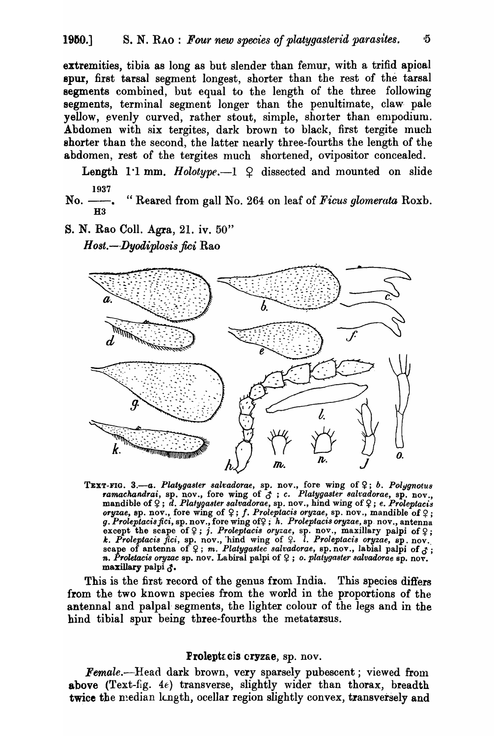extremities, tibia as long as but slender than femur, with a trifid apioal spur, first tarsal segment longest, shorter than the rest of the tarsal segments combined, but equal to the length of the three following segments, terminal segment longer than the penultimate, claw pale yellow, evenly curved, rather stout, simple, shorter than empodium. Abdomen with six tergites, dark brown to black, first tergite much shorter than the second, the latter nearly three-fourths the length of the abdomen, rest of the tergites much shortened, ovipositor concealed.

Length 1<sup>.1</sup> mm. *Holotype*.  $-1 \oplus 1$  dissected and mounted on slide 1937

No. — . "Reared from gall No. 264 on leaf of *Ficus glomerata* Roxb. H<sub>3</sub>

S. N. Rao ColI. Agra, 21. iv. 50"

*Host.-·Dyodiplosis fici* Rao



TEXT-FIG. 3.-a. Platygaster salvadorae, sp. nov., fore wing of  $9$ ; *b. Polygnotus ramachandrai,* sp. nov., fore wing of & ; C. *Platygaster salt'adorae,* sp. nov., mandible of  $\varphi$ ; *d. Platygaster salvadorae*, sp. nov., hind wing of  $\varphi$ ; *e. Proleptacis*  $\alpha$  *oryzae*, sp. nov., fore wing of  $\varphi$ ; *f. Proleptacis oryzae*, sp. nov., mandible of  $\varphi$ ; g. *Proleptacis fici, sp. nov., fore wing of*?; *h. Proleptacis oryzae, sp. nov., antenna* except the scape of  $\varphi$ ; *j. Proleptacis oryzae*, sp. nov., maxillary palpi of  $\varphi$ ; *k. Proleptacis fici, sp. nov., hind wing of*  $9$ *. <i>l. Proleptacis oryzae, sp. nov.*<br>scape of antenna of  $9$ ; m. *Platygastec salvadorae, sp. nov., labial palpi of*  $3$ ; *n. Proletacis oryzac* sp. nov. Labiral palpi of  $9$ ; *o. platygaster salvadorae* sp. nov. maxillary palpi $\zeta$ .

This is the first record of the genus from India. This species differs from the two known species from the world in the proportions of the antennal and palpal segments, the lighter colour of the legs and in the bind tibial spur being three-fourths the metatarsus.

#### Proleptacis cryzae, sp. nov.

Female.-Head dark brown, very sparsely pubescent; viewed from above (Text-fig. 4e) transverse, slightly wider than thorax, breadth twice the median langth, ocellar region slightly convex, transversely and

۰5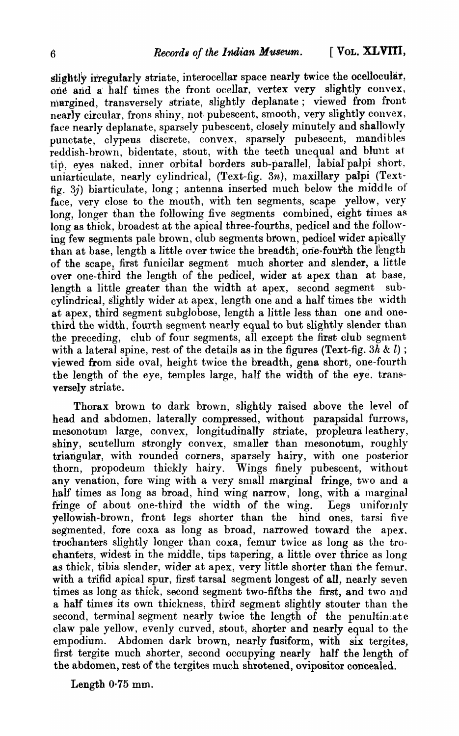$s$  if  $g$  is integularly striate, interocellar space nearly twice the ocellocular, one and a half times the front ocellar, vertex very slightly convex, margined, transversely striate, slightly deplanate; viewed from front nearly circular, frons shiny, not pubescent, smooth, very slightly convex, face nearly deplanate, sparsely pubescent, closely minutely and shallowly punctate, clypeus discrete, convex, sparsely pubescent, mandibles reddish-brown, bidentate, stout, with the teeth unequal and blunt at tip, eyes naked, inner orbital borders sub-parallel, labial palpi short, uniarticulate, nearly cylindrical, (Text-fig. 3n), maxillary palpi (Textfig. 3j) biarticulate, long; antenna inserted much below the middle of face, very close to the mouth, with ten segments, scape yellow, very long, longer than the following five segments combined, eight times as long as thick, broadest at the apical three-fourths, pedicel and the following few segments pale brown, club segments brown, pedicel wider apically than at base, length a little over twice the breadth, one-fourth the length of the scape, first funicilar segment much shorter and slender, a little over one-third the length of the pedicel, wider at apex than at base, length a little greater than the width at apex, second segment subcylindrical, slightly wider at apex, length one and a half times the width at apex, third segment subglobose, length a little *less* than one and onethird the width, fourth segment nearly equal to but slightly slender than the preceding, club of four segments, all except the first club segment with a lateral spine, rest of the details as in the figures (Text-fig.  $3h \& l$ ); viewed from side oval, height twice the breadth, gena short, one-fourth the length of the eye, temples large, half the width of the eye, transversely striate.

Thorax brown to dark brown, slightly raised above the level of head and abdomen, laterally compressed, without parapsidal furrows, mesonotum large, convex, longitudinally striate, propleura leathery, shiny, scutellum strongly convex, smaller than mesonotum, roughly triangular, with rounded corners, sparsely hairy, with one posterior thorn, propodeum thickly hairy. Wings finely pubescent, without any venation, fore wing with a very small marginal fringe, two and a half times as long as broad, hind wing narrow, long, with a marginal fringe of about one-third the width of the wing. Legs uniformly fringe of about one-third the width of the wing. yellowish-brown, front legs shorter than the hind ones, tarsi five segmented, fore coxa as long as broad, narrowed toward the apex. trochanters slightly longer than coxa, femur twice as long as the trochanters, widest in the middle, tips tapering, a little over thrice as long as thick, tibia slender, wider at apex, very little shorter than the femur. with a trifid apical spur, first tarsal segment longest of all, nearly seven times as long as thick, second segment two-fifths the first, and two and a half times its own thickness, third segment slightly stouter than the second, terminal segment nearly twice the length of the penultinate claw pale yellow, evenly curved, stout, shorter and nearly equal to the empodium. Abdomen dark brown, nearly fusiform, with six tergites, first tergite much shorter, second occupying nearly half the length of the abdomen, rest of the tergites much shrotened, ovipositor concealed.

Length 0·75 mm.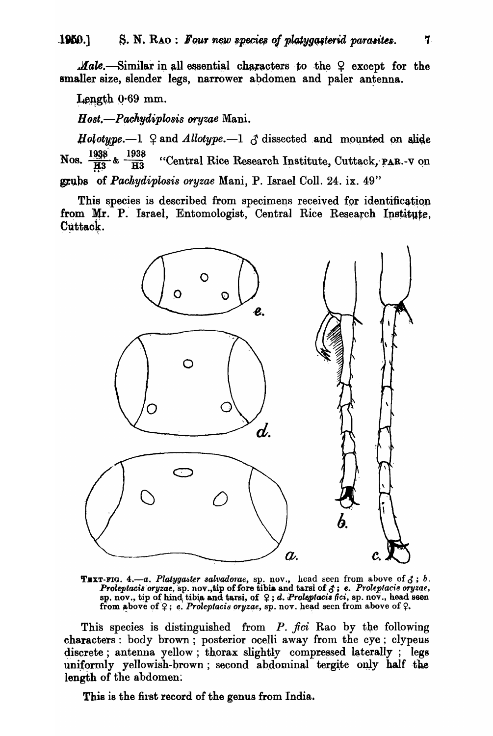*Male.*—Similar in all essential characters to the  $9$  except for the smaller size, slender legs, narrower abdomen and paler antenna.

Length 0.69 mm.

Host.—Pachydiplosis oryzae Mani.

*Holotupe.*—1  $\Omega$  and *Allotype.*—1  $\Lambda$  dissected and mounted on slide Nos.  $\frac{1938}{H3}$  &  $\frac{1938}{H3}$ "Central Rice Research Institute, Cuttack, PAR.-V on grubs of Pachydiplosis oryzae Mani, P. Israel Coll. 24. ix. 49"

This species is described from specimens received for identification from Mr. P. Israel, Entomologist, Central Rice Research Institute, Cuttack.



**TEXT-FIG.** 4.—a. Platygaster salvadorae, sp. nov., head seen from above of  $\zeta$ ; b.<br>Proleptacis oryzae, sp. nov., tip of fore tibia and tarsi of  $\zeta$ ; e. Proleptacis oryzae, sp. nov., tip of hind tibia and tarsi, of  $\$ from above of  $9$ ; e. Proleptacis oryzae, sp. nov. head seen from above of  $9$ .

This species is distinguished from P. fici Rao by the following characters: body brown; posterior ocelli away from the eye; clypeus discrete; antenna yellow; thorax slightly compressed laterally; legs uniformly yellowish-brown; second abdominal tergite only half the length of the abdomen.

This is the first record of the genus from India.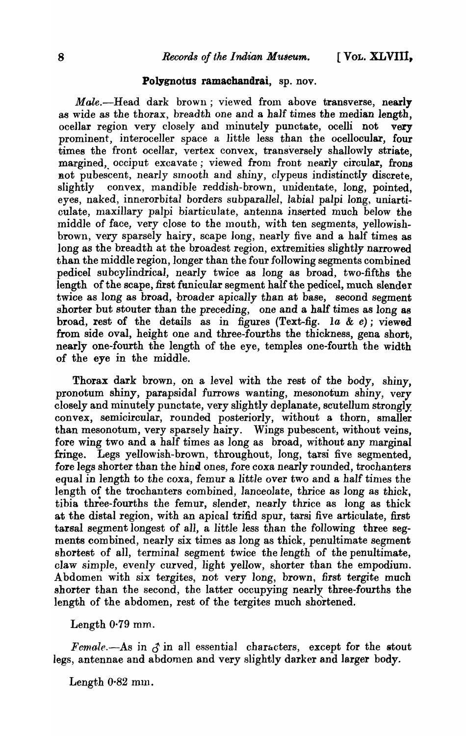#### Polygnotus ramachandrai, sp. nov.

*Male.*-Head dark brown; viewed from above transverse, nearly as wide as the thorax, breadth one and a half times the median length, ocellar region very closely and minutely punctate, ocelli not very prominent, interoceller space a little less than the ocellocular, four times the front ocellar, vertex convex, transversely shallowly striate, margined, occiput excavate; viewed from front nearly circular, frons not pubescent, nearly smooth and shiny, clypeus indistinctly discrete. slightly convex, mandible reddish-brown, unidentate, long, pointed, eyes, naked, innerorbital borders subparallel, labial palpi long, uniarticulate, maxillary palpi biarticulate, antenna inserted much below the middle of face, very close to the mouth, with ten segments, yellowishbrown, very sparsely hairy, scape long, nearly five and a half times as long as the breadth at the broadest region, extremities slightly narrowed than the middle region, longer than the four following segments combined pedicel subcylindrical, nearly twice as long as broad, two-fifths the length of the scape, first funicular segment half the pedicel, much slender twice as long as broad, broader apically than at base, second segment shorter but stouter than the preceding, one and a half times as long as broad, rest of the details as in figures (Text-fig. 1a  $\&$  e); viewed from side oval, height one and three-fourths the thickness, gena short, nearly one-fourth the length of the eye, temples one-fourth the width of the eye in the middle.

Thorax dark brown, on a level with the rest of the body, shiny, pronotum shiny, parapsidal furrows wanting, mesonotum shiny, very closely and minutely punctate, very slightly deplanate, scutellum strongly: convex, semicircular, rounded posteriorly, without a thorn, smaller than mesonotum, very sparsely hairy. Wings pubescent, without veins, fore wing two and a half times as long as broad, without any marginal fringe. Legs yellowish-brown, throughout, long, tarsi five segmented, fore legs shorter than the hind ones, fore coxa nearly rounded, trochanters equal in length to the coxa, femur a little over two and a half times the length of the trochanters combined, lanceolate, thrice as long as thick, tibia three-fourths the femur, slender, nearly thrice as long as thick at the distal region, with an apical trifid spur, tarsi five articulate, first tarsal segment longest of all, a little less than the following three segments combined, nearly six times as long as thick, penultimate segment shortest of all, terminal segment twice the length of the penultimate, claw simple, evenly curved, light yellow, shorter than the empodium. Abdomen with six tergites, not very long, brown, first tergite much shorter than the second, the latter occupying nearly three-fourths the length of the abdomen, rest of the tergites much shortened.

# Length 0·79 mm.

*Female.*—As in  $\beta$  in all essential characters, except for the stout legs, antennae and abdomen and very slightly darker and larger body.

Length  $0.82$  mm.